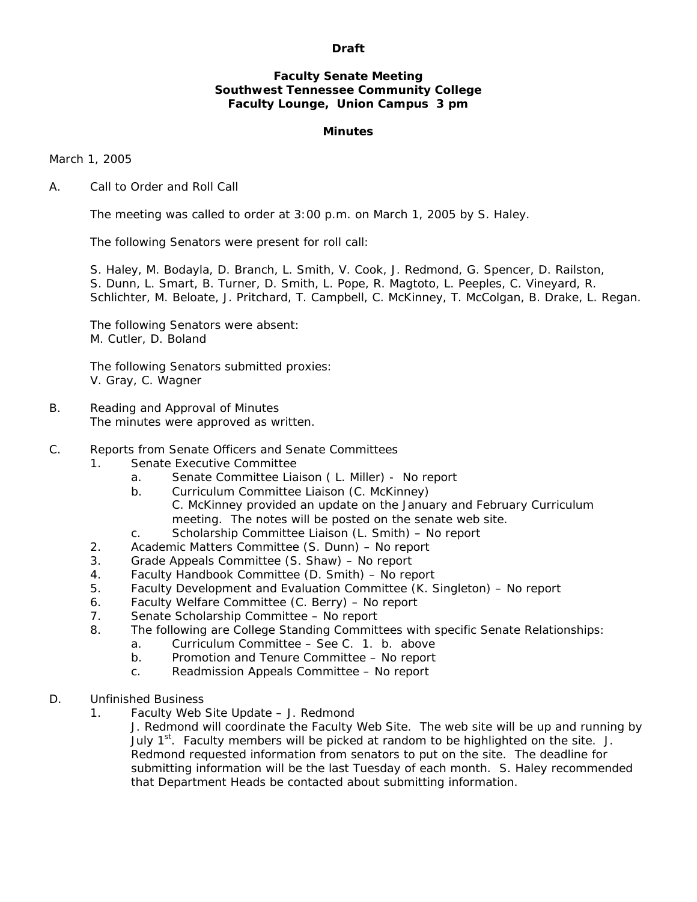### **Draft**

## **Faculty Senate Meeting Southwest Tennessee Community College Faculty Lounge, Union Campus 3 pm**

### **Minutes**

March 1, 2005

#### A. Call to Order and Roll Call

The meeting was called to order at 3:00 p.m. on March 1, 2005 by S. Haley.

The following Senators were present for roll call:

 S. Haley, M. Bodayla, D. Branch, L. Smith, V. Cook, J. Redmond, G. Spencer, D. Railston, S. Dunn, L. Smart, B. Turner, D. Smith, L. Pope, R. Magtoto, L. Peeples, C. Vineyard, R. Schlichter, M. Beloate, J. Pritchard, T. Campbell, C. McKinney, T. McColgan, B. Drake, L. Regan.

 The following Senators were absent: M. Cutler, D. Boland

 The following Senators submitted proxies: V. Gray, C. Wagner

B. Reading and Approval of Minutes The minutes were approved as written.

## C. Reports from Senate Officers and Senate Committees

- 1. Senate Executive Committee
	- a. Senate Committee Liaison ( L. Miller) No report
	- b. Curriculum Committee Liaison (C. McKinney)
		- C. McKinney provided an update on the January and February Curriculum meeting. The notes will be posted on the senate web site.
	- c. Scholarship Committee Liaison (L. Smith) No report
- 2. Academic Matters Committee (S. Dunn) No report
- 3. Grade Appeals Committee (S. Shaw) No report
- 4. Faculty Handbook Committee (D. Smith) No report
- 5. Faculty Development and Evaluation Committee (K. Singleton) No report
- 6. Faculty Welfare Committee (C. Berry) No report
- 7. Senate Scholarship Committee No report
- 8. The following are College Standing Committees with specific Senate Relationships:
	- a. Curriculum Committee See C. 1. b. above
	- b. Promotion and Tenure Committee No report
	- c. Readmission Appeals Committee No report
- D. Unfinished Business
	- 1. Faculty Web Site Update J. Redmond

 J. Redmond will coordinate the Faculty Web Site. The web site will be up and running by July  $1<sup>st</sup>$ . Faculty members will be picked at random to be highlighted on the site. J. Redmond requested information from senators to put on the site. The deadline for submitting information will be the last Tuesday of each month. S. Haley recommended that Department Heads be contacted about submitting information.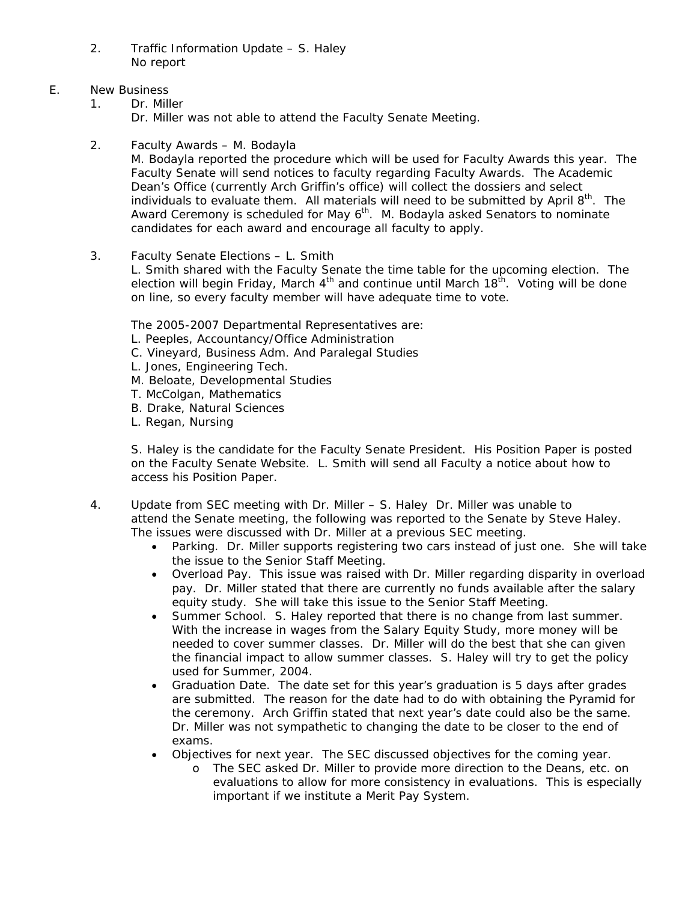- 2. Traffic Information Update S. Haley No report
- E. New Business
	- 1. Dr. Miller Dr. Miller was not able to attend the Faculty Senate Meeting.
	- 2. Faculty Awards M. Bodayla

 M. Bodayla reported the procedure which will be used for Faculty Awards this year. The Faculty Senate will send notices to faculty regarding Faculty Awards. The Academic Dean's Office (currently Arch Griffin's office) will collect the dossiers and select individuals to evaluate them. All materials will need to be submitted by April  $8<sup>th</sup>$ . The Award Ceremony is scheduled for May  $6<sup>th</sup>$ . M. Bodayla asked Senators to nominate candidates for each award and encourage all faculty to apply.

3. Faculty Senate Elections – L. Smith

 L. Smith shared with the Faculty Senate the time table for the upcoming election. The election will begin Friday, March  $4<sup>th</sup>$  and continue until March  $18<sup>th</sup>$ . Voting will be done on line, so every faculty member will have adequate time to vote.

The 2005-2007 Departmental Representatives are:

- L. Peeples, Accountancy/Office Administration
- C. Vineyard, Business Adm. And Paralegal Studies
- L. Jones, Engineering Tech.
- M. Beloate, Developmental Studies
- T. McColgan, Mathematics
- B. Drake, Natural Sciences
- L. Regan, Nursing

 S. Haley is the candidate for the Faculty Senate President. His Position Paper is posted on the Faculty Senate Website. L. Smith will send all Faculty a notice about how to access his Position Paper.

- 4. Update from SEC meeting with Dr. Miller S. Haley Dr. Miller was unable to attend the Senate meeting, the following was reported to the Senate by Steve Haley. The issues were discussed with Dr. Miller at a previous SEC meeting.
	- Parking. Dr. Miller supports registering two cars instead of just one. She will take the issue to the Senior Staff Meeting.
	- Overload Pay. This issue was raised with Dr. Miller regarding disparity in overload pay. Dr. Miller stated that there are currently no funds available after the salary equity study. She will take this issue to the Senior Staff Meeting.
	- Summer School. S. Haley reported that there is no change from last summer. With the increase in wages from the Salary Equity Study, more money will be needed to cover summer classes. Dr. Miller will do the best that she can given the financial impact to allow summer classes. S. Haley will try to get the policy used for Summer, 2004.
	- Graduation Date. The date set for this year's graduation is 5 days after grades are submitted. The reason for the date had to do with obtaining the Pyramid for the ceremony. Arch Griffin stated that next year's date could also be the same. Dr. Miller was not sympathetic to changing the date to be closer to the end of exams.
	- Objectives for next year. The SEC discussed objectives for the coming year.
		- o The SEC asked Dr. Miller to provide more direction to the Deans, etc. on evaluations to allow for more consistency in evaluations. This is especially important if we institute a Merit Pay System.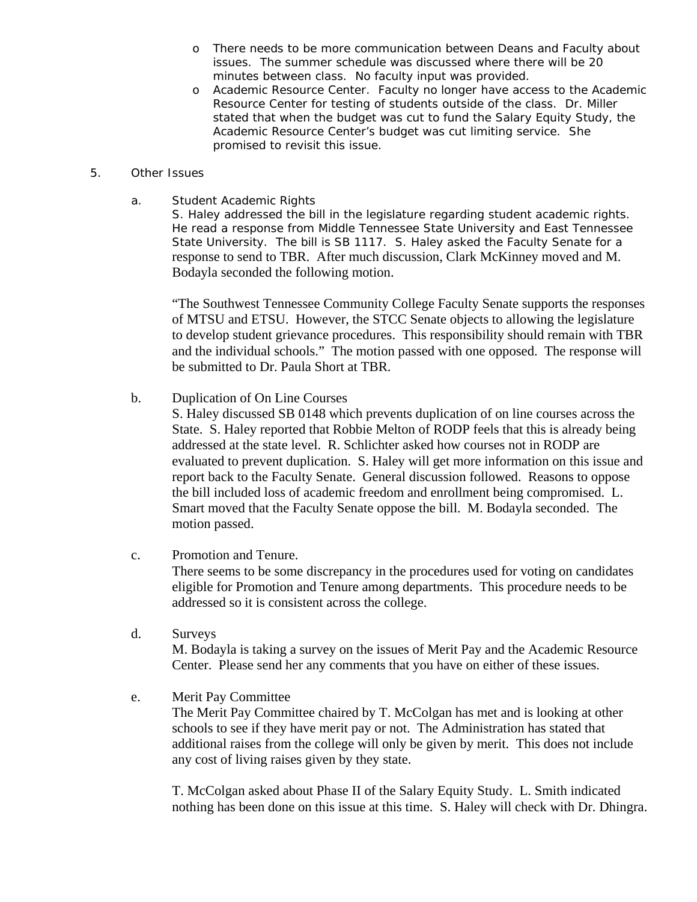- o There needs to be more communication between Deans and Faculty about issues. The summer schedule was discussed where there will be 20 minutes between class. No faculty input was provided.
- o Academic Resource Center. Faculty no longer have access to the Academic Resource Center for testing of students outside of the class. Dr. Miller stated that when the budget was cut to fund the Salary Equity Study, the Academic Resource Center's budget was cut limiting service. She promised to revisit this issue.

## 5. Other Issues

a. Student Academic Rights

 S. Haley addressed the bill in the legislature regarding student academic rights. He read a response from Middle Tennessee State University and East Tennessee State University. The bill is SB 1117. S. Haley asked the Faculty Senate for a response to send to TBR. After much discussion, Clark McKinney moved and M. Bodayla seconded the following motion.

 "The Southwest Tennessee Community College Faculty Senate supports the responses of MTSU and ETSU. However, the STCC Senate objects to allowing the legislature to develop student grievance procedures. This responsibility should remain with TBR and the individual schools." The motion passed with one opposed. The response will be submitted to Dr. Paula Short at TBR.

b. Duplication of On Line Courses

 S. Haley discussed SB 0148 which prevents duplication of on line courses across the State. S. Haley reported that Robbie Melton of RODP feels that this is already being addressed at the state level. R. Schlichter asked how courses not in RODP are evaluated to prevent duplication. S. Haley will get more information on this issue and report back to the Faculty Senate. General discussion followed. Reasons to oppose the bill included loss of academic freedom and enrollment being compromised. L. Smart moved that the Faculty Senate oppose the bill. M. Bodayla seconded. The motion passed.

c. Promotion and Tenure.

 There seems to be some discrepancy in the procedures used for voting on candidates eligible for Promotion and Tenure among departments. This procedure needs to be addressed so it is consistent across the college.

d. Surveys

 M. Bodayla is taking a survey on the issues of Merit Pay and the Academic Resource Center. Please send her any comments that you have on either of these issues.

e. Merit Pay Committee

 The Merit Pay Committee chaired by T. McColgan has met and is looking at other schools to see if they have merit pay or not. The Administration has stated that additional raises from the college will only be given by merit. This does not include any cost of living raises given by they state.

 T. McColgan asked about Phase II of the Salary Equity Study. L. Smith indicated nothing has been done on this issue at this time. S. Haley will check with Dr. Dhingra.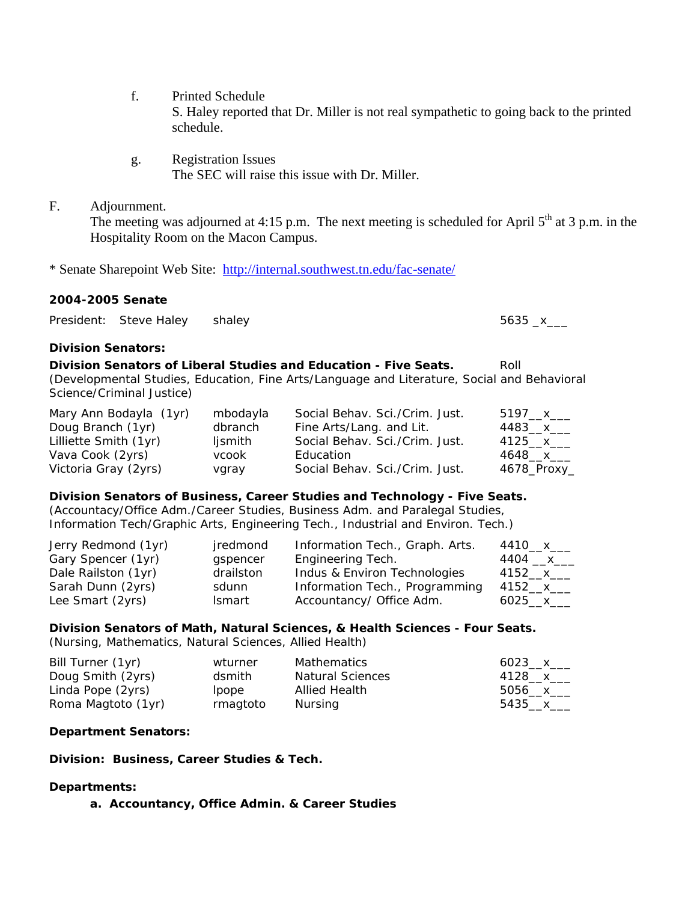- f. Printed Schedule S. Haley reported that Dr. Miller is not real sympathetic to going back to the printed schedule.
- g. Registration Issues The SEC will raise this issue with Dr. Miller.
- F. Adjournment.

The meeting was adjourned at 4:15 p.m. The next meeting is scheduled for April  $5<sup>th</sup>$  at 3 p.m. in the Hospitality Room on the Macon Campus.

\* Senate Sharepoint Web Site: <http://internal.southwest.tn.edu/fac-senate/>

## **2004-2005 Senate**

President: Steve Haley shaley 5635 x

## **Division Senators:**

**Division Senators of Liberal Studies and Education - Five Seats.** Roll (Developmental Studies, Education, Fine Arts/Language and Literature, Social and Behavioral Science/Criminal Justice)

| Mary Ann Bodayla (1yr) | mbodayla | Social Behav. Sci./Crim. Just. | 5197__x___  |
|------------------------|----------|--------------------------------|-------------|
| Doug Branch (1yr)      | dbranch  | Fine Arts/Lang. and Lit.       | 4483__x__   |
| Lilliette Smith (1yr)  | ljsmith  | Social Behav. Sci./Crim. Just. | 4125 x      |
| Vava Cook (2yrs)       | vcook    | Education                      | 4648__x__   |
| Victoria Gray (2yrs)   | vgray    | Social Behav. Sci./Crim. Just. | 4678_Proxy_ |

#### **Division Senators of Business, Career Studies and Technology - Five Seats.**

(Accountacy/Office Adm./Career Studies, Business Adm. and Paralegal Studies, Information Tech/Graphic Arts, Engineering Tech., Industrial and Environ. Tech.)

| Jerry Redmond (1yr) | jredmond  | Information Tech., Graph. Arts. | 4410__х___  |
|---------------------|-----------|---------------------------------|-------------|
| Gary Spencer (1yr)  | gspencer  | Engineering Tech.               | 4404 __x___ |
| Dale Railston (1yr) | drailston | Indus & Environ Technologies    | 4152 x      |
| Sarah Dunn (2yrs)   | sdunn     | Information Tech., Programming  | 4152__x___  |
| Lee Smart (2yrs)    | Ismart    | Accountancy/ Office Adm.        | 6025 x      |

# **Division Senators of Math, Natural Sciences, & Health Sciences - Four Seats.**

(Nursing, Mathematics, Natural Sciences, Allied Health)

| Bill Turner (1yr)  | wturner  | <b>Mathematics</b>      | $6023 \times$ |
|--------------------|----------|-------------------------|---------------|
| Doug Smith (2yrs)  | dsmith   | <b>Natural Sciences</b> | 4128__x___    |
| Linda Pope (2yrs)  | lpope    | <b>Allied Health</b>    | 5056 $x$      |
| Roma Magtoto (1yr) | rmagtoto | Nursing                 | 5435 $\times$ |

## **Department Senators:**

**Division: Business, Career Studies & Tech.** 

## **Departments:**

**a. Accountancy, Office Admin. & Career Studies**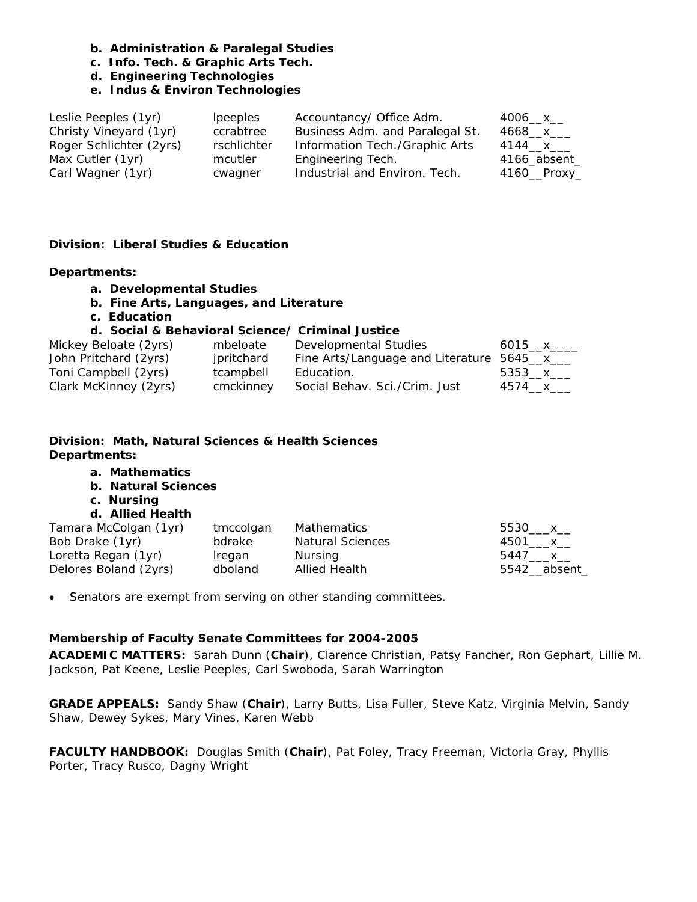- **b. Administration & Paralegal Studies**
- **c. Info. Tech. & Graphic Arts Tech.**
- **d. Engineering Technologies**

## **e. Indus & Environ Technologies**

| Leslie Peeples (1yr)    | <i>lpeeples</i> | Accountancy/ Office Adm.        | $4006 - x$      |
|-------------------------|-----------------|---------------------------------|-----------------|
| Christy Vineyard (1yr)  | ccrabtree       | Business Adm. and Paralegal St. | 4668__x___      |
| Roger Schlichter (2yrs) | rschlichter     | Information Tech./Graphic Arts  | 4144__x___      |
| Max Cutler (1yr)        | mcutler         | Engineering Tech.               | $4166$ _absent_ |
| Carl Wagner (1yr)       | cwagner         | Industrial and Environ. Tech.   | $4160$ Proxy    |

## **Division: Liberal Studies & Education**

#### **Departments:**

- **a. Developmental Studies**
- **b. Fine Arts, Languages, and Literature**
- **c. Education**

#### **d. Social & Behavioral Science/ Criminal Justice**

| Mickey Beloate (2yrs) | mbeloate   | Developmental Studies                      | 6015 x        |
|-----------------------|------------|--------------------------------------------|---------------|
| John Pritchard (2yrs) | jpritchard | Fine Arts/Language and Literature 5645_x__ |               |
| Toni Campbell (2yrs)  | tcampbell  | Education.                                 | 5353 x        |
| Clark McKinney (2yrs) | cmckinney  | Social Behav. Sci./Crim. Just              | 4574___ x____ |

# **Division: Math, Natural Sciences & Health Sciences Departments:**

## **a. Mathematics**

- **b. Natural Sciences**
- **c. Nursing**

# **d. Allied Health**

| Tamara McColgan (1yr) | tmccolgan | Mathematics             | 5530 x      |
|-----------------------|-----------|-------------------------|-------------|
| Bob Drake (1yr)       | bdrake    | <b>Natural Sciences</b> | 4501 x      |
| Loretta Regan (1yr)   | Iregan    | Nursing                 | 5447 x      |
| Delores Boland (2yrs) | dboland   | Allied Health           | 5542 absent |

• Senators are exempt from serving on other standing committees.

## **Membership of Faculty Senate Committees for 2004-2005**

**ACADEMIC MATTERS:** Sarah Dunn (**Chair**), Clarence Christian, Patsy Fancher, Ron Gephart, Lillie M. Jackson, Pat Keene, Leslie Peeples, Carl Swoboda, Sarah Warrington

**GRADE APPEALS:** Sandy Shaw (**Chair**), Larry Butts, Lisa Fuller, Steve Katz, Virginia Melvin, Sandy Shaw, Dewey Sykes, Mary Vines, Karen Webb

**FACULTY HANDBOOK:** Douglas Smith (**Chair**), Pat Foley, Tracy Freeman, Victoria Gray, Phyllis Porter, Tracy Rusco, Dagny Wright